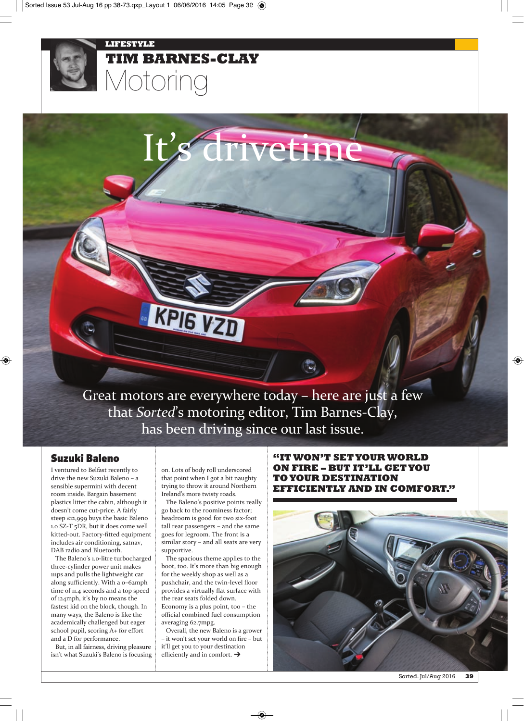#### **LIFESTYLE**



# **TIM BARNES-CLAY** Motoring

# s' drivetime

Great motors are everywhere today – here are just a few that *Sorted*'s motoring editor, Tim Barnes-Clay, has been driving since our last issue.

## **Suzuki Baleno**

I ventured to Belfast recently to drive the new Suzuki Baleno – a sensible supermini with decent room inside. Bargain basement plastics litter the cabin, although it doesn't come cut-price. A fairly steep £12,999 buys the basic Baleno 1.0 SZ-T 5DR, but it does come well kitted-out. Factory-fitted equipment includes air conditioning, satnav, DAB radio and Bluetooth.

The Baleno's 1.0-litre turbocharged three-cylinder power unit makes 111ps and pulls the lightweight car along sufficiently. With a 0–62mph time of 11.4 seconds and a top speed of 124mph, it's by no means the fastest kid on the block, though. In many ways, the Baleno is like the academically challenged but eager school pupil, scoring A+ for effort and a D for performance.

But, in all fairness, driving pleasure isn't what Suzuki's Baleno is focusing on. Lots of body roll underscored that point when I got a bit naughty trying to throw it around Northern Ireland's more twisty roads.

**KPIG VZD** 

The Baleno's positive points really go back to the roominess factor; headroom is good for two six-foot tall rear passengers – and the same goes for legroom. The front is a similar story – and all seats are very supportive.

The spacious theme applies to the boot, too. It's more than big enough for the weekly shop as well as a pushchair, and the twin-level floor provides a virtually flat surface with the rear seats folded down. Economy is a plus point, too – the official combined fuel consumption averaging 62.7mpg.

Overall, the new Baleno is a grower – it won't set your world on fire – but it'll get you to your destination efficiently and in comfort.  $\rightarrow$ 

**"IT WON'T SET YOUR WORLD ON FIRE – BUT IT'LL GET YOU TO YOUR DESTINATION EFFICIENTLY AND IN COMFORT."**

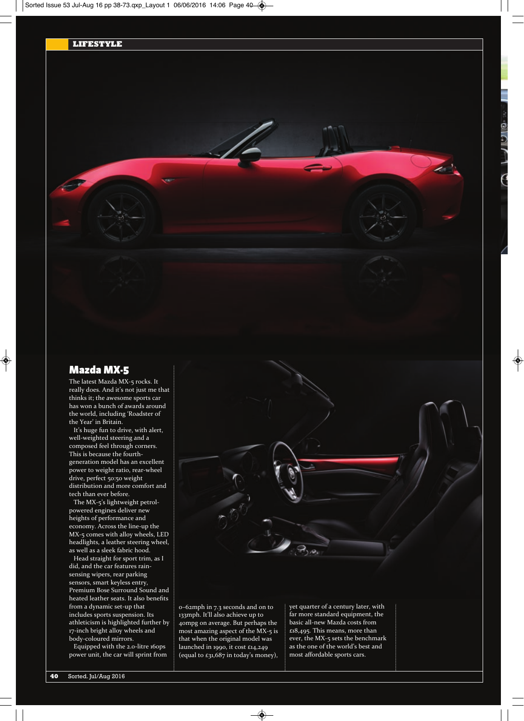# **Mazda MX-5**

The latest Mazda MX-5 rocks. It really does. And it's not just me that thinks it; the awesome sports car has won a bunch of awards around the world, including 'Roadster of the Year' in Britain.

It's huge fun to drive, with alert, well-weighted steering and a composed feel through corners. This is because the fourthgeneration model has an excellent power to weight ratio, rear-wheel drive, perfect 50:50 weight distribution and more comfort and tech than ever before.

The MX-5's lightweight petrolpowered engines deliver new heights of performance and economy. Across the line-up the MX-5 comes with alloy wheels, LED headlights, a leather steering wheel, as well as a sleek fabric hood.

Head straight for sport trim, as I did, and the car features rainsensing wipers, rear parking sensors, smart keyless entry, Premium Bose Surround Sound and heated leather seats. It also benefits from a dynamic set-up that includes sports suspension. Its athleticism is highlighted further by 17-inch bright alloy wheels and body-coloured mirrors.

Equipped with the 2.0-litre 160ps power unit, the car will sprint from 0–62mph in 7.3 seconds and on to 133mph. It'll also achieve up to 40mpg on average. But perhaps the most amazing aspect of the MX-5 is that when the original model was launched in 1990, it cost £14,249 (equal to £31,687 in today's money), yet quarter of a century later, with far more standard equipment, the basic all-new Mazda costs from £18,495. This means, more than ever, the MX-5 sets the benchmark as the one of the world's best and most affordable sports cars.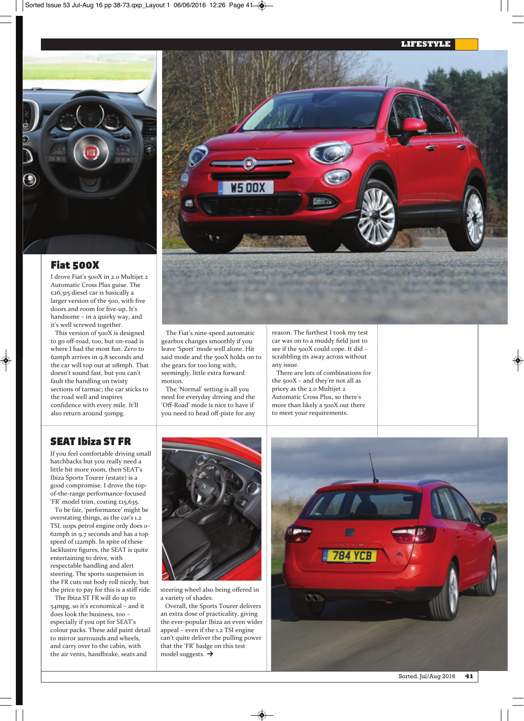#### **LIFESTYLE**



### **Fiat 500X**

I drove Fiat's 500X in 2.0 Multijet 2 Automatic Cross Plus guise. The £26,315 diesel car is basically a larger version of the 500, with five doors and room for five-up. It's handsome – in a quirky way, and it's well screwed together.

This version of 500X is designed to go off-road, too, but on-road is where I had the most fun. Zero to 62mph arrives in 9.8 seconds and the car will top out at 118mph. That doesn't sound fast, but you can't fault the handling on twisty sections of tarmac; the car sticks to the road well and inspires confidence with every mile. It'll also return around 50mpg.



The Fiat's nine-speed automatic gearbox changes smoothly if you leave 'Sport' mode well alone. Hit said mode and the 500X holds on to the gears for too long with, seemingly, little extra forward motion.

The 'Normal' setting is all you need for everyday driving and the 'Off-Road' mode is nice to have if you need to head off-piste for any reason. The furthest I took my test car was on to a muddy field just to see if the 500X could cope. It did – scrabbling its away across without any issue.

There are lots of combinations for the 500X – and they're not all as pricey as the 2.0 Multijet 2 Automatic Cross Plus, so there's more than likely a 500X out there to meet your requirements.

# **SEAT Ibiza ST FR**

If you feel comfortable driving small hatchbacks but you really need a little bit more room, then SEAT's Ibiza Sports Tourer (estate) is a good compromise. I drove the topof-the-range performance-focused 'FR' model trim, costing £15,635.

To be fair, 'performance' might be overstating things, as the car's 1.2 TSI, 110ps petrol engine only does 0– 62mph in 9.7 seconds and has a top speed of 122mph. In spite of these lacklustre figures, the SEAT is quite entertaining to drive, with respectable handling and alert steering. The sports suspension in the FR cuts out body roll nicely, but the price to pay for this is a stiff ride.

The Ibiza ST FR will do up to 54mpg, so it's economical – and it does look the business, too – especially if you opt for SEAT's colour packs. These add paint detail to mirror surrounds and wheels, and carry over to the cabin, with the air vents, handbrake, seats and



steering wheel also being offered in a variety of shades.

Overall, the Sports Tourer delivers an extra dose of practicality, giving the ever-popular Ibiza an even wider appeal – even if the 1.2 TSI engine can't quite deliver the pulling power that the 'FR' badge on this test model suggests.  $\rightarrow$ 

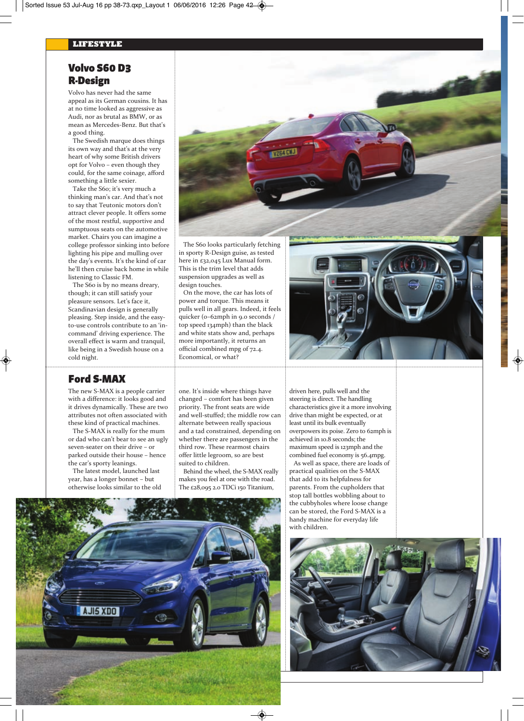# **Volvo S60 D3 R-Design**

Volvo has never had the same appeal as its German cousins. It has at no time looked as aggressive as Audi, nor as brutal as BMW, or as mean as Mercedes-Benz. But that's a good thing.

The Swedish marque does things its own way and that's at the very heart of why some British drivers opt for Volvo – even though they could, for the same coinage, afford something a little sexier.

Take the S60; it's very much a thinking man's car. And that's not to say that Teutonic motors don't attract clever people. It offers some of the most restful, supportive and sumptuous seats on the automotive market. Chairs you can imagine a college professor sinking into before lighting his pipe and mulling over the day's events. It's the kind of car he'll then cruise back home in while listening to Classic FM.

The S60 is by no means dreary, though; it can still satisfy your pleasure sensors. Let's face it, Scandinavian design is generally pleasing. Step inside, and the easyto-use controls contribute to an 'incommand' driving experience. The overall effect is warm and tranquil, like being in a Swedish house on a cold night.

# **Ford S-MAX**

 **42** Sorted. Jul/Aug 2016

The new S-MAX is a people carrier with a difference: it looks good and it drives dynamically. These are two attributes not often associated with these kind of practical machines.

The S-MAX is really for the mum or dad who can't bear to see an ugly seven-seater on their drive – or parked outside their house – hence the car's sporty leanings.

The latest model, launched last year, has a longer bonnet – but otherwise looks similar to the old



The S60 looks particularly fetching in sporty R-Design guise, as tested here in £32,045 Lux Manual form. This is the trim level that adds suspension upgrades as well as design touches.

On the move, the car has lots of power and torque. This means it pulls well in all gears. Indeed, it feels quicker (0–62mph in 9.0 seconds / top speed 134mph) than the black and white stats show and, perhaps more importantly, it returns an official combined mpg of 72.4. Economical, or what?

one. It's inside where things have changed – comfort has been given priority. The front seats are wide and well-stuffed; the middle row can alternate between really spacious and a tad constrained, depending on whether there are passengers in the third row. These rearmost chairs offer little legroom, so are best

Behind the wheel, the S-MAX really makes you feel at one with the road. The £28,095 2.0 TDCi 150 Titanium,

suited to children.

driven here, pulls well and the steering is direct. The handling characteristics give it a more involving drive than might be expected, or at least until its bulk eventually overpowers its poise. Zero to 62mph is achieved in 10.8 seconds; the maximum speed is 123mph and the combined fuel economy is 56.4mpg.

As well as space, there are loads of practical qualities on the S-MAX that add to its helpfulness for parents. From the cupholders that stop tall bottles wobbling about to the cubbyholes where loose change can be stored, the Ford S-MAX is a handy machine for everyday life with children.